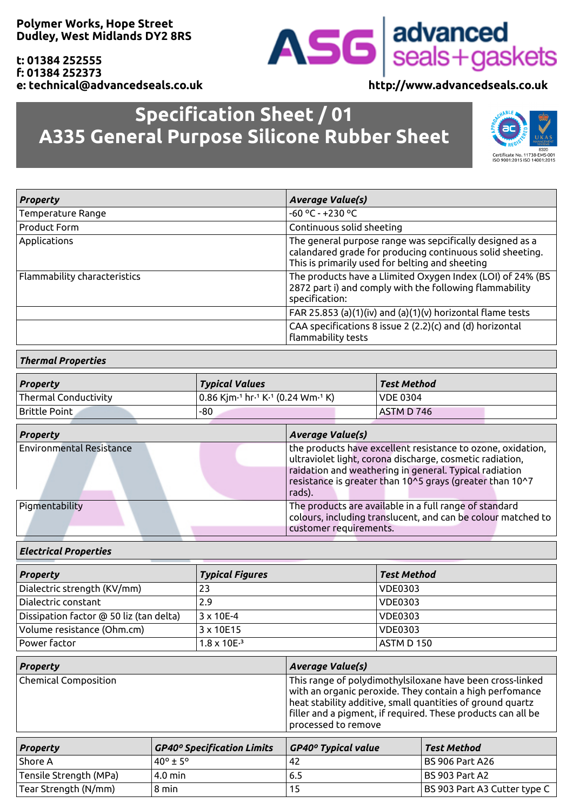**Polymer Works, Hope Street Dudley, West Midlands DY2 8RS**

**t: 01384 252555 f: 01384 252373 e: technical@advancedseals.co.uk http://www.advancedseals.co.uk**

# **Specification Sheet / 01 A335 General Purpose Silicone Rubber Sheet**



| <b>Property</b>              | <b>Average Value(s)</b>                                                                                                                                                  |  |
|------------------------------|--------------------------------------------------------------------------------------------------------------------------------------------------------------------------|--|
| Temperature Range            | $-60 °C - +230 °C$                                                                                                                                                       |  |
| Product Form                 | Continuous solid sheeting                                                                                                                                                |  |
| Applications                 | The general purpose range was sepcifically designed as a<br>calandared grade for producing continuous solid sheeting.<br>This is primarily used for belting and sheeting |  |
| Flammability characteristics | The products have a Llimited Oxygen Index (LOI) of 24% (BS<br>2872 part i) and comply with the following flammability<br>specification:                                  |  |
|                              | FAR 25.853 (a)(1)(iv) and (a)(1)(v) horizontal flame tests                                                                                                               |  |
|                              | CAA specifications 8 issue 2 (2.2)(c) and (d) horizontal<br>flammability tests                                                                                           |  |

## *Thermal Properties*

| <b>Property</b>      | <b>Typical Values</b>                                                     | Test Method     |
|----------------------|---------------------------------------------------------------------------|-----------------|
| Thermal Conductivity | $\vert$ 0.86 Kjm $\cdot$ 1 hr $\cdot$ 1 K $\cdot$ 1 (0.24 Wm $\cdot$ 1 K) | <b>VDE 0304</b> |
| Brittle Point        | -80                                                                       | ASTM D 746      |

| <b>Property</b>                 | <b>Average Value(s)</b>                                                                                                                                                                                                                                 |  |  |
|---------------------------------|---------------------------------------------------------------------------------------------------------------------------------------------------------------------------------------------------------------------------------------------------------|--|--|
| <b>Environmental Resistance</b> | the products have excellent resistance to ozone, oxidation,<br>ultraviolet light, corona discharge, cosmetic radiation,<br>raidation and weathering in general. Typical radiation<br>resistance is greater than 10^5 grays (greater than 10^7<br>rads). |  |  |
| Pigmentability                  | The products are available in a full range of standard<br>colours, including translucent, and can be colour matched to<br>customer requirements.                                                                                                        |  |  |

### *Electrical Properties*

| <b>Property</b>                         | <b>Typical Figures</b> | <b>Test Method</b> |
|-----------------------------------------|------------------------|--------------------|
| Dialectric strength (KV/mm)             | 23                     | <b>VDE0303</b>     |
| Dialectric constant                     | 2.9                    | <b>VDE0303</b>     |
| Dissipation factor @ 50 liz (tan delta) | $3 \times 10E - 4$     | <b>VDE0303</b>     |
| Volume resistance (Ohm.cm)              | 3 x 10E15              | <b>VDE0303</b>     |
| Power factor                            | $1.8 \times 10E^{-3}$  | ASTM D 150         |

| <b>Property</b>        |                                   | <b>Average Value(s)</b>                                                                                                                                                                                                                                                    |                              |
|------------------------|-----------------------------------|----------------------------------------------------------------------------------------------------------------------------------------------------------------------------------------------------------------------------------------------------------------------------|------------------------------|
| Chemical Composition   |                                   | This range of polydimothylsiloxane have been cross-linked<br>with an organic peroxide. They contain a high perfomance<br>heat stability additive, small quantities of ground quartz<br>filler and a pigment, if required. These products can all be<br>processed to remove |                              |
| <b>Property</b>        | <b>GP40° Specification Limits</b> | <b>GP40° Typical value</b>                                                                                                                                                                                                                                                 | <b>Test Method</b>           |
| Shore A                | $40^{\circ}$ + 5°                 | 42                                                                                                                                                                                                                                                                         | <b>BS 906 Part A26</b>       |
| Tensile Strength (MPa) | $4.0$ min                         | 6.5                                                                                                                                                                                                                                                                        | <b>BS 903 Part A2</b>        |
| Tear Strength (N/mm)   | 8 min                             | 15                                                                                                                                                                                                                                                                         | BS 903 Part A3 Cutter type C |